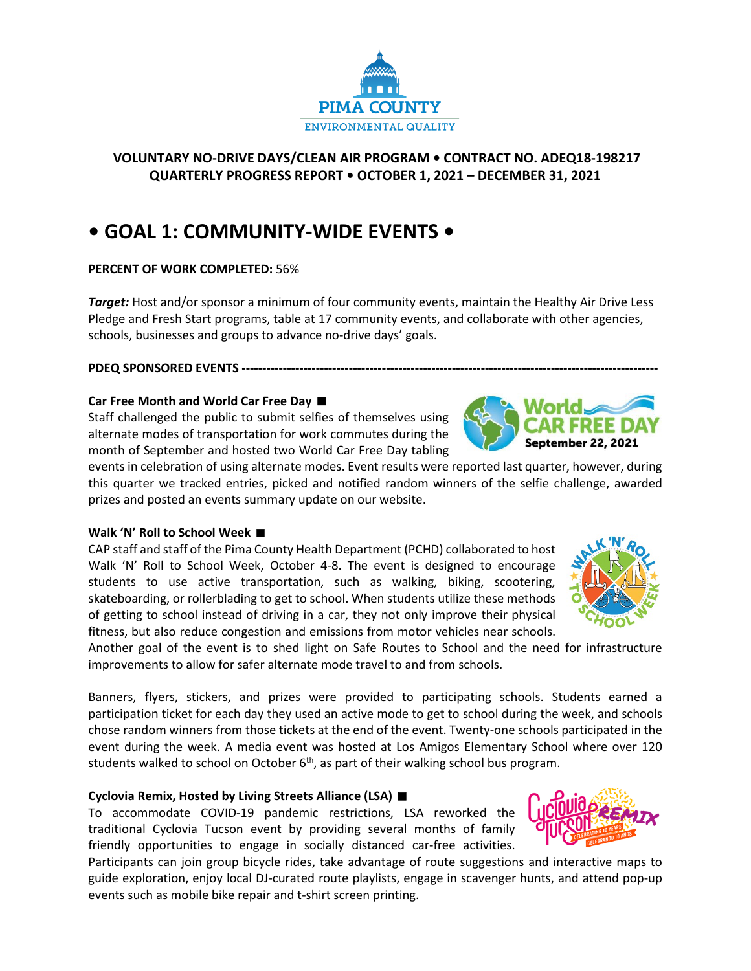

# **VOLUNTARY NO-DRIVE DAYS/CLEAN AIR PROGRAM • CONTRACT NO. ADEQ18-198217 QUARTERLY PROGRESS REPORT • OCTOBER 1, 2021 – DECEMBER 31, 2021**

# **• GOAL 1: COMMUNITY-WIDE EVENTS •**

# **PERCENT OF WORK COMPLETED:** 56%

*Target:* Host and/or sponsor a minimum of four community events, maintain the Healthy Air Drive Less Pledge and Fresh Start programs, table at 17 community events, and collaborate with other agencies, schools, businesses and groups to advance no-drive days' goals.

# **PDEQ SPONSORED EVENTS ---------------------**

# **Car Free Month and World Car Free Day**

Staff challenged the public to submit selfies of themselves using alternate modes of transportation for work commutes during the month of September and hosted two World Car Free Day tabling

events in celebration of using alternate modes. Event results were reported last quarter, however, during this quarter we tracked entries, picked and notified random winners of the selfie challenge, awarded prizes and posted an events summary update on our website.

# **Walk 'N' Roll to School Week**

CAP staff and staff of the Pima County Health Department (PCHD) collaborated to host Walk 'N' Roll to School Week, October 4-8. The event is designed to encourage students to use active transportation, such as walking, biking, scootering, skateboarding, or rollerblading to get to school. When students utilize these methods of getting to school instead of driving in a car, they not only improve their physical fitness, but also reduce congestion and emissions from motor vehicles near schools.

Another goal of the event is to shed light on Safe Routes to School and the need for infrastructure improvements to allow for safer alternate mode travel to and from schools.

Banners, flyers, stickers, and prizes were provided to participating schools. Students earned a participation ticket for each day they used an active mode to get to school during the week, and schools chose random winners from those tickets at the end of the event. Twenty-one schools participated in the event during the week. A media event was hosted at Los Amigos Elementary School where over 120 students walked to school on October  $6<sup>th</sup>$ , as part of their walking school bus program.

# **Cyclovia Remix, Hosted by Living Streets Alliance (LSA)**

To accommodate COVID-19 pandemic restrictions, LSA reworked the traditional Cyclovia Tucson event by providing several months of family friendly opportunities to engage in socially distanced car-free activities.

Participants can join group bicycle rides, take advantage of route suggestions and interactive maps to guide exploration, enjoy local DJ-curated route playlists, engage in scavenger hunts, and attend pop-up events such as mobile bike repair and t-shirt screen printing.





September 22, 2021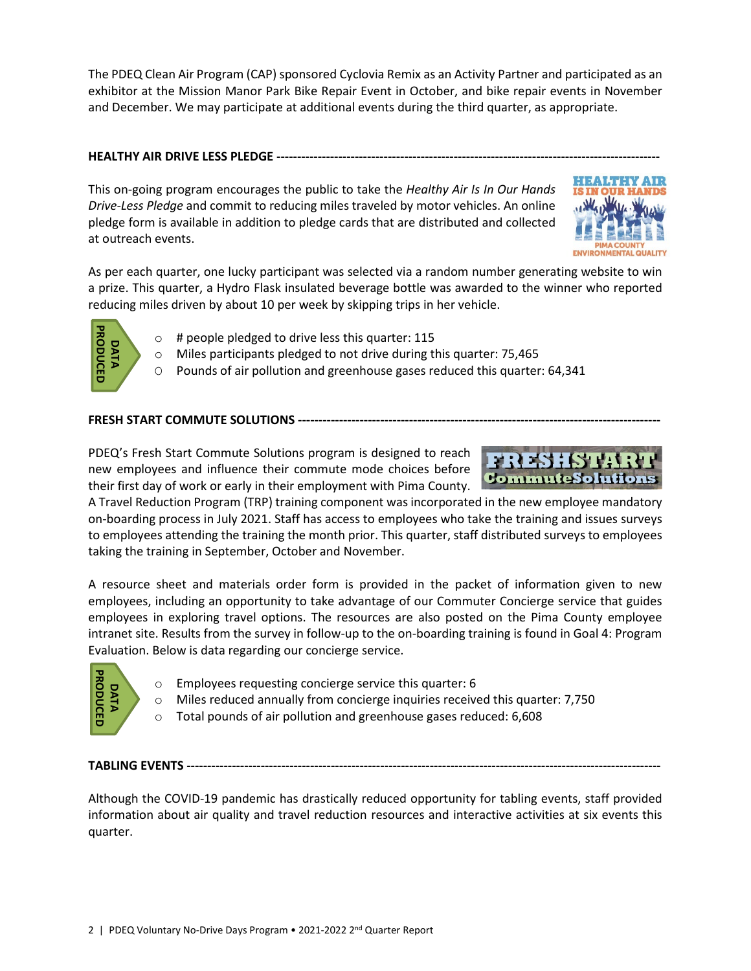The PDEQ Clean Air Program (CAP) sponsored Cyclovia Remix as an Activity Partner and participated as an exhibitor at the Mission Manor Park Bike Repair Event in October, and bike repair events in November and December. We may participate at additional events during the third quarter, as appropriate.

# **HEALTHY AIR DRIVE LESS PLEDGE ---------------------------------------------------------------------------------------------**

This on-going program encourages the public to take the *Healthy Air Is In Our Hands Drive-Less Pledge* and commit to reducing miles traveled by motor vehicles. An online pledge form is available in addition to pledge cards that are distributed and collected at outreach events.

As per each quarter, one lucky participant was selected via a random number generating website to win a prize. This quarter, a Hydro Flask insulated beverage bottle was awarded to the winner who reported reducing miles driven by about 10 per week by skipping trips in her vehicle.

- o # people pledged to drive less this quarter: 115
- o Miles participants pledged to not drive during this quarter: 75,465
- O Pounds of air pollution and greenhouse gases reduced this quarter: 64,341

**FRESH START COMMUTE SOLUTIONS ----------------------------------------------------------------------------------------**

PDEQ's Fresh Start Commute Solutions program is designed to reach new employees and influence their commute mode choices before their first day of work or early in their employment with Pima County.

A Travel Reduction Program (TRP) training component was incorporated in the new employee mandatory on-boarding process in July 2021. Staff has access to employees who take the training and issues surveys to employees attending the training the month prior. This quarter, staff distributed surveys to employees taking the training in September, October and November.

A resource sheet and materials order form is provided in the packet of information given to new employees, including an opportunity to take advantage of our Commuter Concierge service that guides employees in exploring travel options. The resources are also posted on the Pima County employee intranet site. Results from the survey in follow-up to the on-boarding training is found in Goal 4: Program Evaluation. Below is data regarding our concierge service.

- **RODUCED DATA**
- o Employees requesting concierge service this quarter: 6
- o Miles reduced annually from concierge inquiries received this quarter: 7,750
- o Total pounds of air pollution and greenhouse gases reduced: 6,608

**TABLING EVENTS -----------------**

Although the COVID-19 pandemic has drastically reduced opportunity for tabling events, staff provided information about air quality and travel reduction resources and interactive activities at six events this quarter.







PRODUCED DATA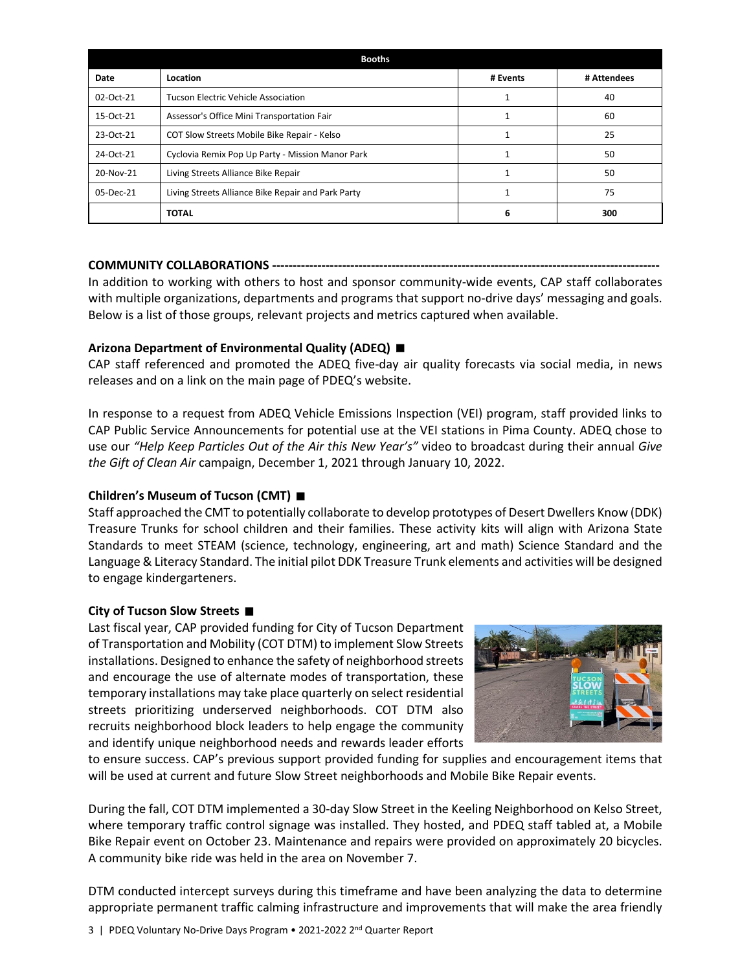| <b>Booths</b> |                                                    |          |             |  |  |
|---------------|----------------------------------------------------|----------|-------------|--|--|
| Date          | Location                                           | # Events | # Attendees |  |  |
| 02-Oct-21     | Tucson Electric Vehicle Association                |          | 40          |  |  |
| 15-Oct-21     | Assessor's Office Mini Transportation Fair         |          | 60          |  |  |
| 23-Oct-21     | COT Slow Streets Mobile Bike Repair - Kelso        |          | 25          |  |  |
| 24-Oct-21     | Cyclovia Remix Pop Up Party - Mission Manor Park   |          | 50          |  |  |
| 20-Nov-21     | Living Streets Alliance Bike Repair                |          | 50          |  |  |
| 05-Dec-21     | Living Streets Alliance Bike Repair and Park Party |          | 75          |  |  |
|               | <b>TOTAL</b>                                       | 6        | 300         |  |  |

#### **COMMUNITY COLLABORATIONS ----------------------------------------------------------------------------------------------**

In addition to working with others to host and sponsor community-wide events, CAP staff collaborates with multiple organizations, departments and programs that support no-drive days' messaging and goals. Below is a list of those groups, relevant projects and metrics captured when available.

### **Arizona Department of Environmental Quality (ADEQ)**

CAP staff referenced and promoted the ADEQ five-day air quality forecasts via social media, in news releases and on a link on the main page of PDEQ's website.

In response to a request from ADEQ Vehicle Emissions Inspection (VEI) program, staff provided links to CAP Public Service Announcements for potential use at the VEI stations in Pima County. ADEQ chose to use our *"Help Keep Particles Out of the Air this New Year's"* video to broadcast during their annual *Give the Gift of Clean Air* campaign, December 1, 2021 through January 10, 2022.

# **Children's Museum of Tucson (CMT)**

Staff approached the CMT to potentially collaborate to develop prototypes of Desert Dwellers Know (DDK) Treasure Trunks for school children and their families. These activity kits will align with Arizona State Standards to meet STEAM (science, technology, engineering, art and math) Science Standard and the Language & Literacy Standard. The initial pilot DDK Treasure Trunk elements and activities will be designed to engage kindergarteners.

### **City of Tucson Slow Streets**

Last fiscal year, CAP provided funding for City of Tucson Department of Transportation and Mobility (COT DTM) to implement Slow Streets installations. Designed to enhance the safety of neighborhood streets and encourage the use of alternate modes of transportation, these temporary installations may take place quarterly on select residential streets prioritizing underserved neighborhoods. COT DTM also recruits neighborhood block leaders to help engage the community and identify unique neighborhood needs and rewards leader efforts



to ensure success. CAP's previous support provided funding for supplies and encouragement items that will be used at current and future Slow Street neighborhoods and Mobile Bike Repair events.

During the fall, COT DTM implemented a 30-day Slow Street in the Keeling Neighborhood on Kelso Street, where temporary traffic control signage was installed. They hosted, and PDEQ staff tabled at, a Mobile Bike Repair event on October 23. Maintenance and repairs were provided on approximately 20 bicycles. A community bike ride was held in the area on November 7.

DTM conducted intercept surveys during this timeframe and have been analyzing the data to determine appropriate permanent traffic calming infrastructure and improvements that will make the area friendly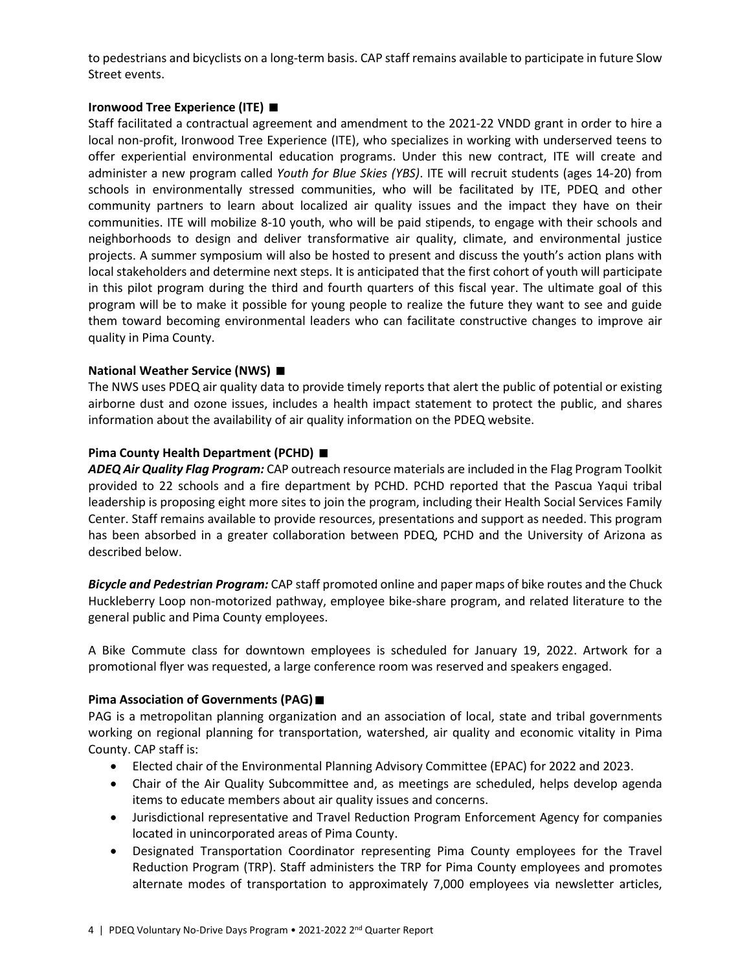to pedestrians and bicyclists on a long-term basis. CAP staff remains available to participate in future Slow Street events.

## **Ironwood Tree Experience (ITE)**

Staff facilitated a contractual agreement and amendment to the 2021-22 VNDD grant in order to hire a local non-profit, Ironwood Tree Experience (ITE), who specializes in working with underserved teens to offer experiential environmental education programs. Under this new contract, ITE will create and administer a new program called *Youth for Blue Skies (YBS)*. ITE will recruit students (ages 14-20) from schools in environmentally stressed communities, who will be facilitated by ITE, PDEQ and other community partners to learn about localized air quality issues and the impact they have on their communities. ITE will mobilize 8-10 youth, who will be paid stipends, to engage with their schools and neighborhoods to design and deliver transformative air quality, climate, and environmental justice projects. A summer symposium will also be hosted to present and discuss the youth's action plans with local stakeholders and determine next steps. It is anticipated that the first cohort of youth will participate in this pilot program during the third and fourth quarters of this fiscal year. The ultimate goal of this program will be to make it possible for young people to realize the future they want to see and guide them toward becoming environmental leaders who can facilitate constructive changes to improve air quality in Pima County.

# **National Weather Service (NWS)**

The NWS uses PDEQ air quality data to provide timely reports that alert the public of potential or existing airborne dust and ozone issues, includes a health impact statement to protect the public, and shares information about the availability of air quality information on the PDEQ website.

# **Pima County Health Department (PCHD)**

*ADEQ Air Quality Flag Program:* CAP outreach resource materials are included in the Flag Program Toolkit provided to 22 schools and a fire department by PCHD. PCHD reported that the Pascua Yaqui tribal leadership is proposing eight more sites to join the program, including their Health Social Services Family Center. Staff remains available to provide resources, presentations and support as needed. This program has been absorbed in a greater collaboration between PDEQ, PCHD and the University of Arizona as described below.

*Bicycle and Pedestrian Program:* CAP staff promoted online and paper maps of bike routes and the Chuck Huckleberry Loop non-motorized pathway, employee bike-share program, and related literature to the general public and Pima County employees.

A Bike Commute class for downtown employees is scheduled for January 19, 2022. Artwork for a promotional flyer was requested, a large conference room was reserved and speakers engaged.

### **Pima Association of Governments (PAG)**

PAG is a metropolitan planning organization and an association of local, state and tribal governments working on regional planning for transportation, watershed, air quality and economic vitality in Pima County. CAP staff is:

- Elected chair of the Environmental Planning Advisory Committee (EPAC) for 2022 and 2023.
- Chair of the Air Quality Subcommittee and, as meetings are scheduled, helps develop agenda items to educate members about air quality issues and concerns.
- Jurisdictional representative and Travel Reduction Program Enforcement Agency for companies located in unincorporated areas of Pima County.
- Designated Transportation Coordinator representing Pima County employees for the Travel Reduction Program (TRP). Staff administers the TRP for Pima County employees and promotes alternate modes of transportation to approximately 7,000 employees via newsletter articles,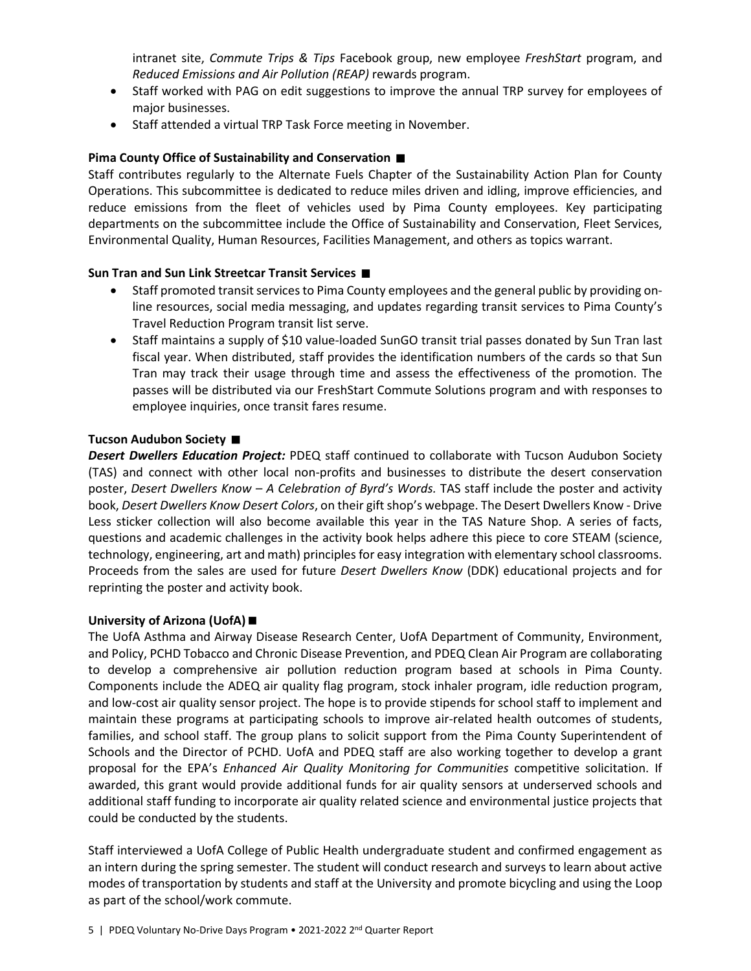intranet site, *Commute Trips & Tips* Facebook group, new employee *FreshStart* program, and *Reduced Emissions and Air Pollution (REAP)* rewards program.

- Staff worked with PAG on edit suggestions to improve the annual TRP survey for employees of major businesses.
- Staff attended a virtual TRP Task Force meeting in November.

# **Pima County Office of Sustainability and Conservation**

Staff contributes regularly to the Alternate Fuels Chapter of the Sustainability Action Plan for County Operations. This subcommittee is dedicated to reduce miles driven and idling, improve efficiencies, and reduce emissions from the fleet of vehicles used by Pima County employees. Key participating departments on the subcommittee include the Office of Sustainability and Conservation, Fleet Services, Environmental Quality, Human Resources, Facilities Management, and others as topics warrant.

# **Sun Tran and Sun Link Streetcar Transit Services**

- Staff promoted transit services to Pima County employees and the general public by providing online resources, social media messaging, and updates regarding transit services to Pima County's Travel Reduction Program transit list serve.
- Staff maintains a supply of \$10 value-loaded SunGO transit trial passes donated by Sun Tran last fiscal year. When distributed, staff provides the identification numbers of the cards so that Sun Tran may track their usage through time and assess the effectiveness of the promotion. The passes will be distributed via our FreshStart Commute Solutions program and with responses to employee inquiries, once transit fares resume.

# **Tucson Audubon Society**

*Desert Dwellers Education Project:* PDEQ staff continued to collaborate with Tucson Audubon Society (TAS) and connect with other local non-profits and businesses to distribute the desert conservation poster, *Desert Dwellers Know – A Celebration of Byrd's Words.* TAS staff include the poster and activity book, *Desert Dwellers Know Desert Colors*, on their gift shop's webpage. The Desert Dwellers Know - Drive Less sticker collection will also become available this year in the TAS Nature Shop. A series of facts, questions and academic challenges in the activity book helps adhere this piece to core STEAM (science, technology, engineering, art and math) principles for easy integration with elementary school classrooms. Proceeds from the sales are used for future *Desert Dwellers Know* (DDK) educational projects and for reprinting the poster and activity book.

# **University of Arizona (UofA)**

The UofA Asthma and Airway Disease Research Center, UofA Department of Community, Environment, and Policy, PCHD Tobacco and Chronic Disease Prevention, and PDEQ Clean Air Program are collaborating to develop a comprehensive air pollution reduction program based at schools in Pima County. Components include the ADEQ air quality flag program, stock inhaler program, idle reduction program, and low-cost air quality sensor project. The hope is to provide stipends for school staff to implement and maintain these programs at participating schools to improve air-related health outcomes of students, families, and school staff. The group plans to solicit support from the Pima County Superintendent of Schools and the Director of PCHD. UofA and PDEQ staff are also working together to develop a grant proposal for the EPA's *Enhanced Air Quality Monitoring for Communities* competitive solicitation. If awarded, this grant would provide additional funds for air quality sensors at underserved schools and additional staff funding to incorporate air quality related science and environmental justice projects that could be conducted by the students.

Staff interviewed a UofA College of Public Health undergraduate student and confirmed engagement as an intern during the spring semester. The student will conduct research and surveys to learn about active modes of transportation by students and staff at the University and promote bicycling and using the Loop as part of the school/work commute.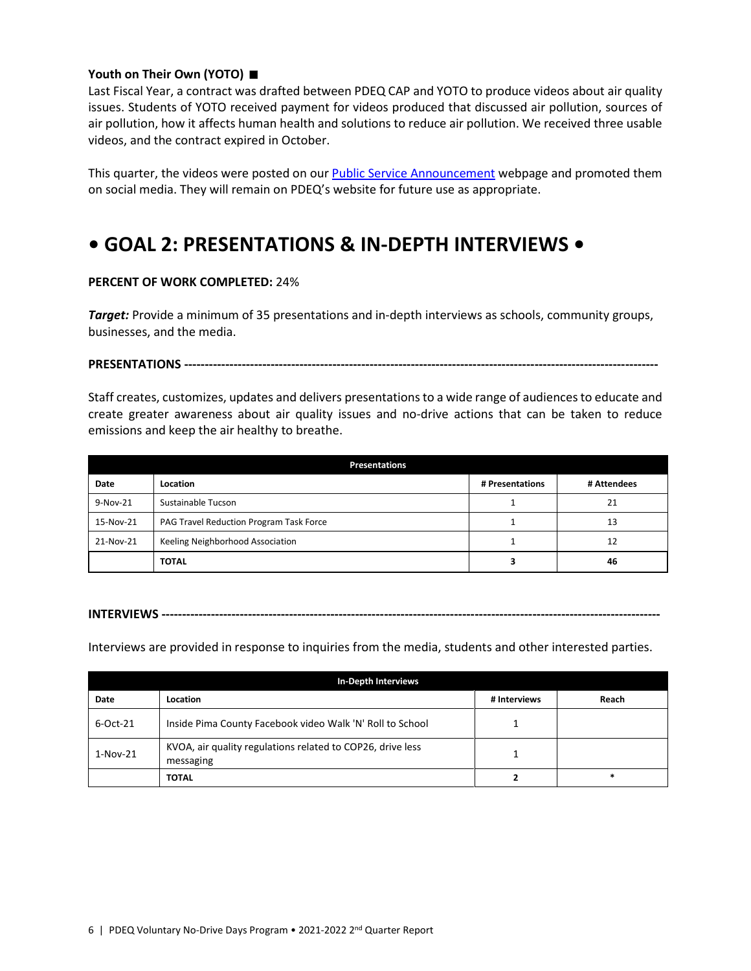### **Youth on Their Own (YOTO)**

Last Fiscal Year, a contract was drafted between PDEQ CAP and YOTO to produce videos about air quality issues. Students of YOTO received payment for videos produced that discussed air pollution, sources of air pollution, how it affects human health and solutions to reduce air pollution. We received three usable videos, and the contract expired in October.

This quarter, the videos were posted on our **Public Service Announcement** webpage and promoted them on social media. They will remain on PDEQ's website for future use as appropriate.

# **• GOAL 2: PRESENTATIONS & IN-DEPTH INTERVIEWS •**

### **PERCENT OF WORK COMPLETED:** 24%

*Target:* Provide a minimum of 35 presentations and in-depth interviews as schools, community groups, businesses, and the media.

#### **PRESENTATIONS -------------------------------------------------------------------------------------------------------------------**

Staff creates, customizes, updates and delivers presentations to a wide range of audiences to educate and create greater awareness about air quality issues and no-drive actions that can be taken to reduce emissions and keep the air healthy to breathe.

|           | <b>Presentations</b>                    |                 |             |
|-----------|-----------------------------------------|-----------------|-------------|
| Date      | <b>Location</b>                         | # Presentations | # Attendees |
| 9-Nov-21  | Sustainable Tucson                      |                 | 21          |
| 15-Nov-21 | PAG Travel Reduction Program Task Force |                 | 13          |
| 21-Nov-21 | Keeling Neighborhood Association        |                 | 12          |
|           | <b>TOTAL</b>                            |                 | 46          |

### **INTERVIEWS --------------------**

Interviews are provided in response to inquiries from the media, students and other interested parties.

| <b>In-Depth Interviews</b> |                                                                         |              |        |  |  |
|----------------------------|-------------------------------------------------------------------------|--------------|--------|--|--|
| Date                       | Location                                                                | # Interviews | Reach  |  |  |
| 6-Oct-21                   | Inside Pima County Facebook video Walk 'N' Roll to School               |              |        |  |  |
| $1-Nov-21$                 | KVOA, air quality regulations related to COP26, drive less<br>messaging |              |        |  |  |
|                            | <b>TOTAL</b>                                                            |              | $\ast$ |  |  |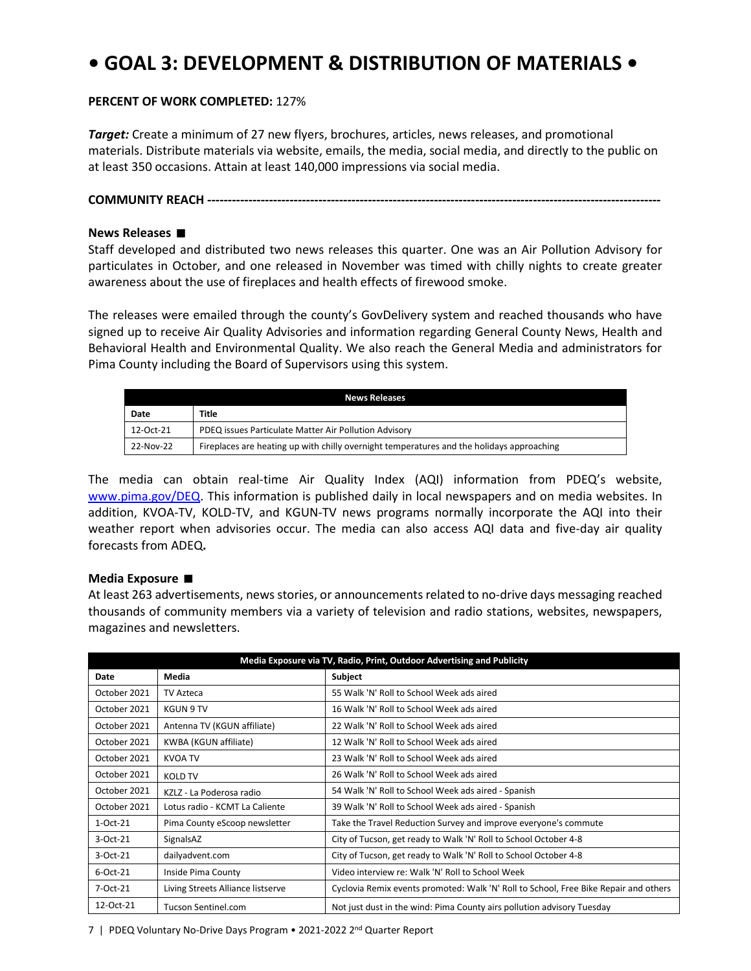# **• GOAL 3: DEVELOPMENT & DISTRIBUTION OF MATERIALS •**

### **PERCENT OF WORK COMPLETED:** 127%

*Target:* Create a minimum of 27 new flyers, brochures, articles, news releases, and promotional materials. Distribute materials via website, emails, the media, social media, and directly to the public on at least 350 occasions. Attain at least 140,000 impressions via social media.

**COMMUNITY REACH --------------------------------------------------------------------------------------------------------------**

### **News Releases**

Staff developed and distributed two news releases this quarter. One was an Air Pollution Advisory for particulates in October, and one released in November was timed with chilly nights to create greater awareness about the use of fireplaces and health effects of firewood smoke.

The releases were emailed through the county's GovDelivery system and reached thousands who have signed up to receive Air Quality Advisories and information regarding General County News, Health and Behavioral Health and Environmental Quality. We also reach the General Media and administrators for Pima County including the Board of Supervisors using this system.

| <b>News Releases</b> |                                                                                           |  |  |
|----------------------|-------------------------------------------------------------------------------------------|--|--|
| Date                 | <b>Title</b>                                                                              |  |  |
| 12-Oct-21            | PDEQ issues Particulate Matter Air Pollution Advisory                                     |  |  |
| 22-Nov-22            | Fireplaces are heating up with chilly overnight temperatures and the holidays approaching |  |  |

The media can obtain real-time Air Quality Index (AQI) information from PDEQ's website, [www.pima.gov/DEQ.](http://www.pima.gov/DEQ) This information is published daily in local newspapers and on media websites. In addition, KVOA-TV, KOLD-TV, and KGUN-TV news programs normally incorporate the AQI into their weather report when advisories occur. The media can also access AQI data and five-day air quality forecasts from ADEQ**.**

### **Media Exposure**

At least 263 advertisements, news stories, or announcements related to no-drive days messaging reached thousands of community members via a variety of television and radio stations, websites, newspapers, magazines and newsletters.

| Media Exposure via TV, Radio, Print, Outdoor Advertising and Publicity |                                   |                                                                                      |  |  |
|------------------------------------------------------------------------|-----------------------------------|--------------------------------------------------------------------------------------|--|--|
| Date                                                                   | Media                             | Subject                                                                              |  |  |
| October 2021                                                           | TV Azteca                         | 55 Walk 'N' Roll to School Week ads aired                                            |  |  |
| October 2021                                                           | <b>KGUN 9 TV</b>                  | 16 Walk 'N' Roll to School Week ads aired                                            |  |  |
| October 2021                                                           | Antenna TV (KGUN affiliate)       | 22 Walk 'N' Roll to School Week ads aired                                            |  |  |
| October 2021                                                           | KWBA (KGUN affiliate)             | 12 Walk 'N' Roll to School Week ads aired                                            |  |  |
| October 2021                                                           | KVOA TV                           | 23 Walk 'N' Roll to School Week ads aired                                            |  |  |
| October 2021                                                           | <b>KOLD TV</b>                    | 26 Walk 'N' Roll to School Week ads aired                                            |  |  |
| October 2021                                                           | KZLZ - La Poderosa radio          | 54 Walk 'N' Roll to School Week ads aired - Spanish                                  |  |  |
| October 2021                                                           | Lotus radio - KCMT La Caliente    | 39 Walk 'N' Roll to School Week ads aired - Spanish                                  |  |  |
| $1-Oct-21$                                                             | Pima County eScoop newsletter     | Take the Travel Reduction Survey and improve everyone's commute                      |  |  |
| 3-Oct-21                                                               | SignalsAZ                         | City of Tucson, get ready to Walk 'N' Roll to School October 4-8                     |  |  |
| 3-Oct-21                                                               | dailyadvent.com                   | City of Tucson, get ready to Walk 'N' Roll to School October 4-8                     |  |  |
| 6-Oct-21                                                               | Inside Pima County                | Video interview re: Walk 'N' Roll to School Week                                     |  |  |
| 7-Oct-21                                                               | Living Streets Alliance listserve | Cyclovia Remix events promoted: Walk 'N' Roll to School, Free Bike Repair and others |  |  |
| 12-Oct-21                                                              | Tucson Sentinel.com               | Not just dust in the wind: Pima County airs pollution advisory Tuesday               |  |  |

7 | PDEQ Voluntary No-Drive Days Program • 2021-2022 2nd Quarter Report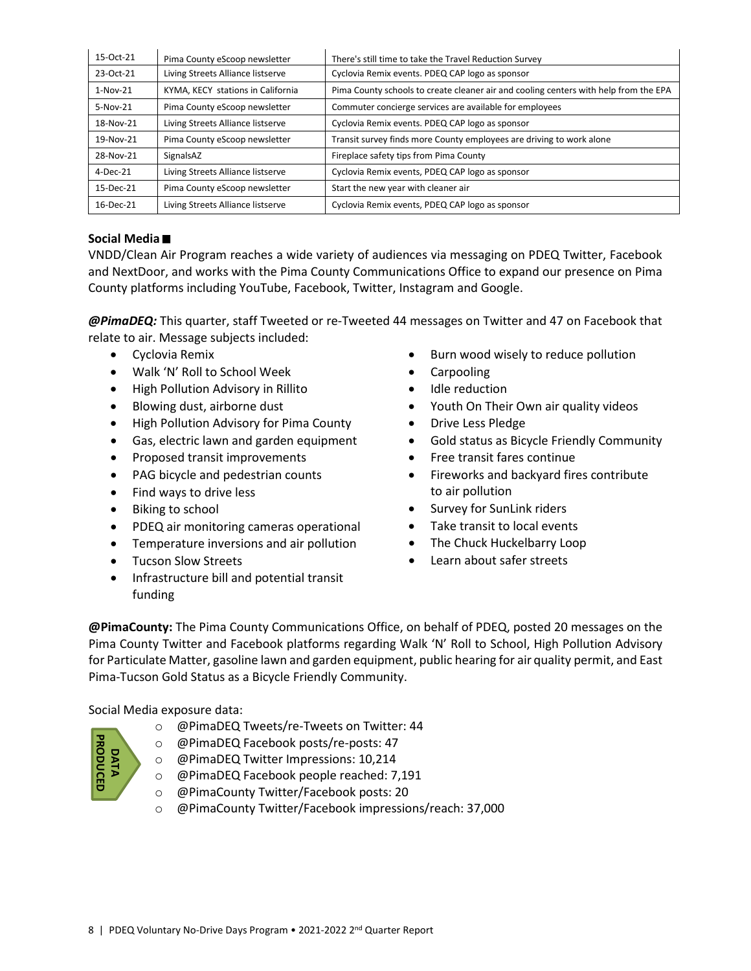| 15-Oct-21  | Pima County eScoop newsletter     | There's still time to take the Travel Reduction Survey                               |
|------------|-----------------------------------|--------------------------------------------------------------------------------------|
| 23-Oct-21  | Living Streets Alliance listserve | Cyclovia Remix events. PDEQ CAP logo as sponsor                                      |
| $1-Nov-21$ | KYMA, KECY stations in California | Pima County schools to create cleaner air and cooling centers with help from the EPA |
| 5-Nov-21   | Pima County eScoop newsletter     | Commuter concierge services are available for employees                              |
| 18-Nov-21  | Living Streets Alliance listserve | Cyclovia Remix events. PDEQ CAP logo as sponsor                                      |
| 19-Nov-21  | Pima County eScoop newsletter     | Transit survey finds more County employees are driving to work alone                 |
| 28-Nov-21  | SignalsAZ                         | Fireplace safety tips from Pima County                                               |
| $4-Dec-21$ | Living Streets Alliance listserve | Cyclovia Remix events, PDEQ CAP logo as sponsor                                      |
| 15-Dec-21  | Pima County eScoop newsletter     | Start the new year with cleaner air                                                  |
| 16-Dec-21  | Living Streets Alliance listserve | Cyclovia Remix events, PDEQ CAP logo as sponsor                                      |

# **Social Media**

VNDD/Clean Air Program reaches a wide variety of audiences via messaging on PDEQ Twitter, Facebook and NextDoor, and works with the Pima County Communications Office to expand our presence on Pima County platforms including YouTube, Facebook, Twitter, Instagram and Google.

*@PimaDEQ:* This quarter, staff Tweeted or re-Tweeted 44 messages on Twitter and 47 on Facebook that relate to air. Message subjects included:

- Cyclovia Remix
- Walk 'N' Roll to School Week
- High Pollution Advisory in Rillito
- Blowing dust, airborne dust
- High Pollution Advisory for Pima County
- Gas, electric lawn and garden equipment
- Proposed transit improvements
- PAG bicycle and pedestrian counts
- Find ways to drive less
- Biking to school
- PDEQ air monitoring cameras operational
- Temperature inversions and air pollution
- Tucson Slow Streets
- Infrastructure bill and potential transit funding
- Burn wood wisely to reduce pollution
- Carpooling
- Idle reduction
- Youth On Their Own air quality videos
- Drive Less Pledge
- Gold status as Bicycle Friendly Community
- Free transit fares continue
- Fireworks and backyard fires contribute to air pollution
- Survey for SunLink riders
- Take transit to local events
- The Chuck Huckelbarry Loop
- Learn about safer streets

**@PimaCounty:** The Pima County Communications Office, on behalf of PDEQ, posted 20 messages on the Pima County Twitter and Facebook platforms regarding Walk 'N' Roll to School, High Pollution Advisory for Particulate Matter, gasoline lawn and garden equipment, public hearing for air quality permit, and East Pima-Tucson Gold Status as a Bicycle Friendly Community.

# Social Media exposure data:

o @PimaDEQ Tweets/re-Tweets on Twitter: 44



- o @PimaDEQ Facebook posts/re-posts: 47
- o @PimaDEQ Twitter Impressions: 10,214
- o @PimaDEQ Facebook people reached: 7,191
- o @PimaCounty Twitter/Facebook posts: 20
- o @PimaCounty Twitter/Facebook impressions/reach: 37,000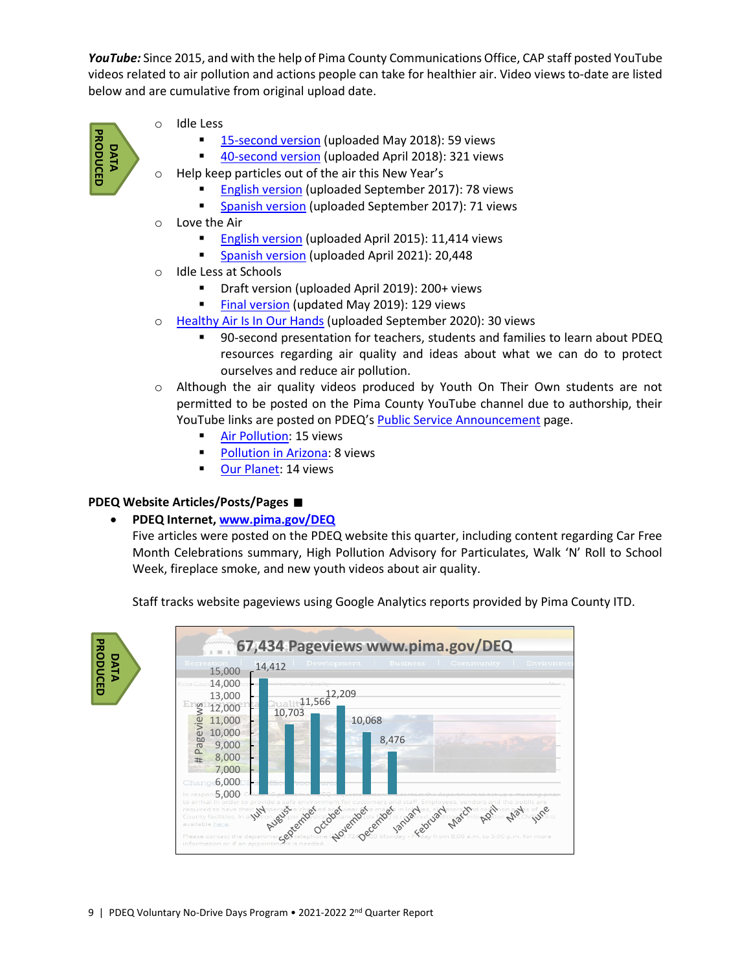*YouTube:* Since 2015, and with the help of Pima County Communications Office, CAP staff posted YouTube videos related to air pollution and actions people can take for healthier air. Video views to-date are listed below and are cumulative from original upload date.



- o Idle Less
	- [15-second version](https://www.youtube.com/watch?app=desktop&v=KLATtmheK2E&feature=youtu.be) (uploaded May 2018): 59 views
	- [40-second version](https://www.youtube.com/watch?app=desktop&v=Irp00_RMnqo&feature=youtu.be) (uploaded April 2018): 321 views
- o Help keep particles out of the air this New Year's
	- [English version](https://www.youtube.com/watch?app=desktop&v=YS6Uxl4cBSg&feature=youtu.be) (uploaded September 2017): 78 views
	- [Spanish version](https://www.youtube.com/watch?app=desktop&v=T45EuZZkjwI&feature=youtu.be) (uploaded September 2017): 71 views
- o Love the Air
	- [English version](https://www.youtube.com/watch?app=desktop&v=MCnjl_SkoCQ) (uploaded April 2015): 11,414 views
	- **[Spanish version](https://www.youtube.com/watch?app=desktop&v=MCnjl_SkoCQ)** (uploaded April 2021): 20,448
- o Idle Less at Schools
	- Draft version (uploaded April 2019): 200+ views
	- [Final version](https://www.youtube.com/watch?app=desktop&v=B1GKSYz3is4) (updated May 2019): 129 views
- o [Healthy Air Is In Our Hands](https://www.youtube.com/watch?app=desktop&v=U_wIMNNtaYo&feature=youtu.be) (uploaded September 2020): 30 views
	- 90-second presentation for teachers, students and families to learn about PDEQ resources regarding air quality and ideas about what we can do to protect ourselves and reduce air pollution.
- o Although the air quality videos produced by Youth On Their Own students are not permitted to be posted on the Pima County YouTube channel due to authorship, their YouTube links are posted on PDEQ'[s Public Service Announcement](https://webcms.pima.gov/cms/one.aspx?portalId=169&pageId=68311) page.
	- [Air Pollution:](https://www.youtube.com/watch?v=BYK9nnSZ0pQ) 15 views
	- **[Pollution in Arizona:](https://www.youtube.com/watch?v=LkB15N1weoE) 8 views**
	- **[Our Planet:](https://www.youtube.com/watch?v=Ow4CgWAWLoE) 14 views**

# **PDEQ Website Articles/Posts/Pages**

• **PDEQ Internet, [www.pima.gov/DEQ](http://www.pima.gov/DEQ)**

Five articles were posted on the PDEQ website this quarter, including content regarding Car Free Month Celebrations summary, High Pollution Advisory for Particulates, Walk 'N' Roll to School Week, fireplace smoke, and new youth videos about air quality.

Staff tracks website pageviews using Google Analytics reports provided by Pima County ITD.



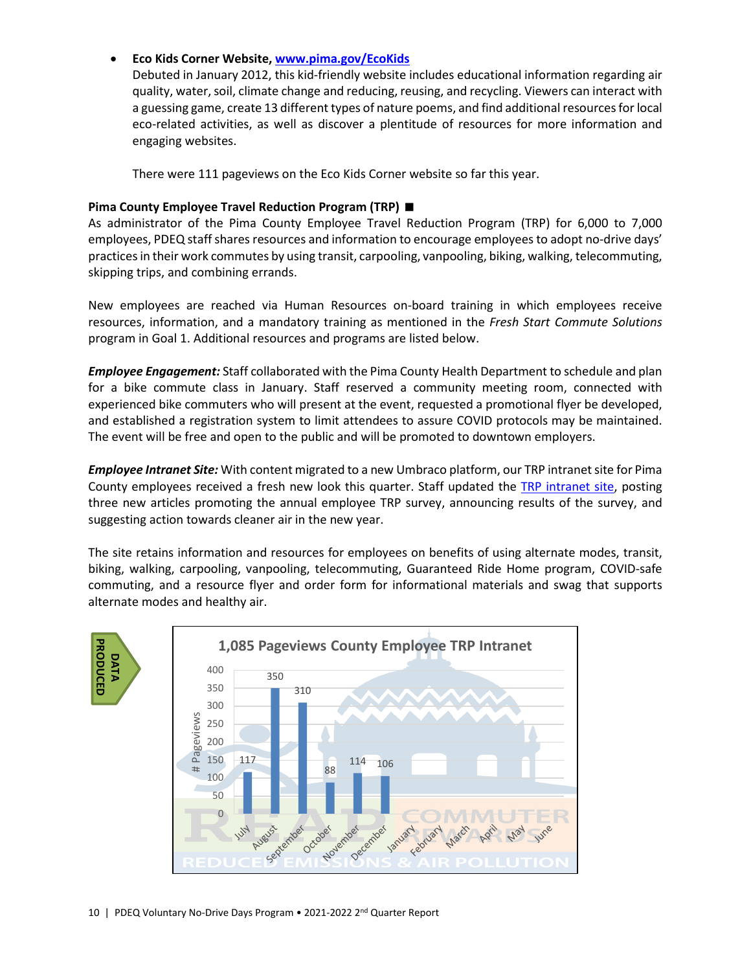## • **Eco Kids Corner Website[, www.pima.gov/EcoKids](http://www.pima.gov/EcoKids)**

Debuted in January 2012, this kid-friendly website includes educational information regarding air quality, water, soil, climate change and reducing, reusing, and recycling. Viewers can interact with a guessing game, create 13 different types of nature poems, and find additional resources for local eco-related activities, as well as discover a plentitude of resources for more information and engaging websites.

There were 111 pageviews on the Eco Kids Corner website so far this year.

### **Pima County Employee Travel Reduction Program (TRP)**

As administrator of the Pima County Employee Travel Reduction Program (TRP) for 6,000 to 7,000 employees, PDEQ staff shares resources and information to encourage employees to adopt no-drive days' practices in their work commutes by using transit, carpooling, vanpooling, biking, walking, telecommuting, skipping trips, and combining errands.

New employees are reached via Human Resources on-board training in which employees receive resources, information, and a mandatory training as mentioned in the *Fresh Start Commute Solutions* program in Goal 1. Additional resources and programs are listed below.

*Employee Engagement:* Staff collaborated with the Pima County Health Department to schedule and plan for a bike commute class in January. Staff reserved a community meeting room, connected with experienced bike commuters who will present at the event, requested a promotional flyer be developed, and established a registration system to limit attendees to assure COVID protocols may be maintained. The event will be free and open to the public and will be promoted to downtown employers.

*Employee Intranet Site:* With content migrated to a new Umbraco platform, our TRP intranet site for Pima County employees received a fresh new look this quarter. Staff updated the [TRP intranet site,](https://intranet2.pima.gov/department-intranets/environmental-quality/travel-reduction-program/) posting three new articles promoting the annual employee TRP survey, announcing results of the survey, and suggesting action towards cleaner air in the new year.

The site retains information and resources for employees on benefits of using alternate modes, transit, biking, walking, carpooling, vanpooling, telecommuting, Guaranteed Ride Home program, COVID-safe commuting, and a resource flyer and order form for informational materials and swag that supports alternate modes and healthy air.



**PRODUCED**PRODUCED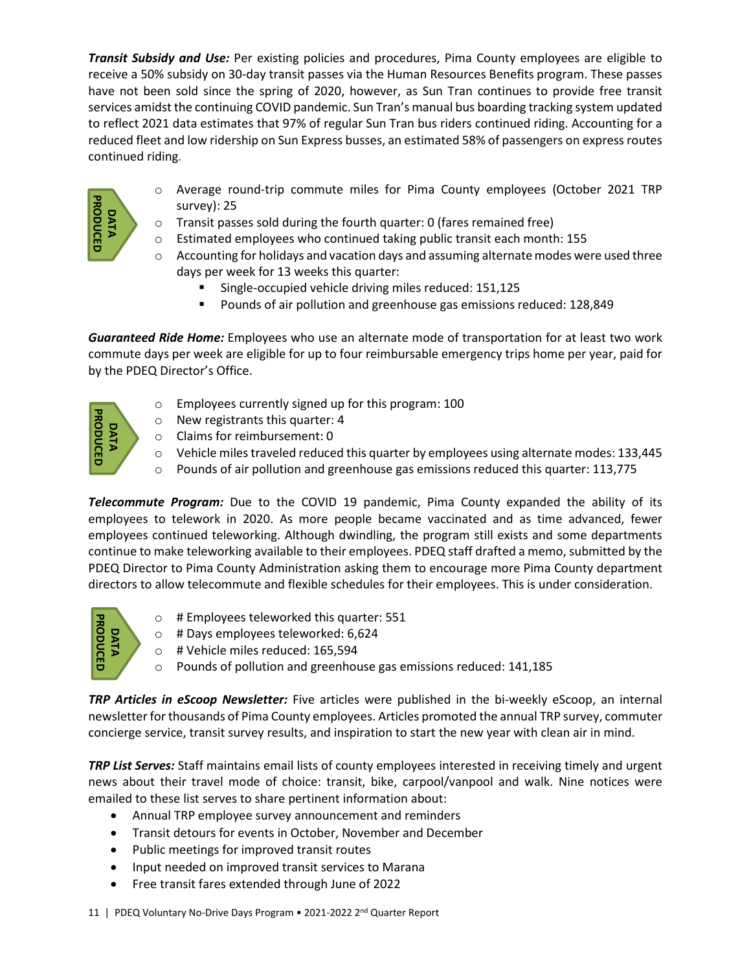*Transit Subsidy and Use:* Per existing policies and procedures, Pima County employees are eligible to receive a 50% subsidy on 30-day transit passes via the Human Resources Benefits program. These passes have not been sold since the spring of 2020, however, as Sun Tran continues to provide free transit services amidst the continuing COVID pandemic. Sun Tran's manual bus boarding tracking system updated to reflect 2021 data estimates that 97% of regular Sun Tran bus riders continued riding. Accounting for a reduced fleet and low ridership on Sun Express busses, an estimated 58% of passengers on express routes continued riding.



**DATA PRODUCED**

**PRODUCED** 

- o Average round-trip commute miles for Pima County employees (October 2021 TRP survey): 25
- o Transit passes sold during the fourth quarter: 0 (fares remained free)
- 
- $\circ$  Estimated employees who continued taking public transit each month: 155<br> $\circ$  Accounting for holidays and vacation days and assuming alternate modes we Accounting for holidays and vacation days and assuming alternate modes were used three days per week for 13 weeks this quarter:
	- Single-occupied vehicle driving miles reduced: 151,125
	- **Pounds of air pollution and greenhouse gas emissions reduced: 128,849**

*Guaranteed Ride Home:* Employees who use an alternate mode of transportation for at least two work commute days per week are eligible for up to four reimbursable emergency trips home per year, paid for by the PDEQ Director's Office.

- o Employees currently signed up for this program: 100
- o New registrants this quarter: 4
- o Claims for reimbursement: 0
- $\circ$  Vehicle miles traveled reduced this quarter by employees using alternate modes: 133,445
- $\circ$  Pounds of air pollution and greenhouse gas emissions reduced this quarter: 113,775

*Telecommute Program:* Due to the COVID 19 pandemic, Pima County expanded the ability of its employees to telework in 2020. As more people became vaccinated and as time advanced, fewer employees continued teleworking. Although dwindling, the program still exists and some departments continue to make teleworking available to their employees. PDEQ staff drafted a memo, submitted by the PDEQ Director to Pima County Administration asking them to encourage more Pima County department directors to allow telecommute and flexible schedules for their employees. This is under consideration. • Fransit passes sold during the fourth quantity assess of the estimated employees who continued take accounting for holidays and vacation day as per week for 13 weeks this quarter: "Single-occupied vehicle driving measu



- o # Employees teleworked this quarter: 551
- o # Days employees teleworked: 6,624
- o # Vehicle miles reduced: 165,594
- o Pounds of pollution and greenhouse gas emissions reduced: 141,185

*TRP Articles in eScoop Newsletter:* Five articles were published in the bi-weekly eScoop, an internal newsletter for thousands of Pima County employees. Articles promoted the annual TRP survey, commuter concierge service, transit survey results, and inspiration to start the new year with clean air in mind.

*TRP List Serves:* Staff maintains email lists of county employees interested in receiving timely and urgent news about their travel mode of choice: transit, bike, carpool/vanpool and walk. Nine notices were emailed to these list serves to share pertinent information about:

- Annual TRP employee survey announcement and reminders
- Transit detours for events in October, November and December
- Public meetings for improved transit routes
- Input needed on improved transit services to Marana
-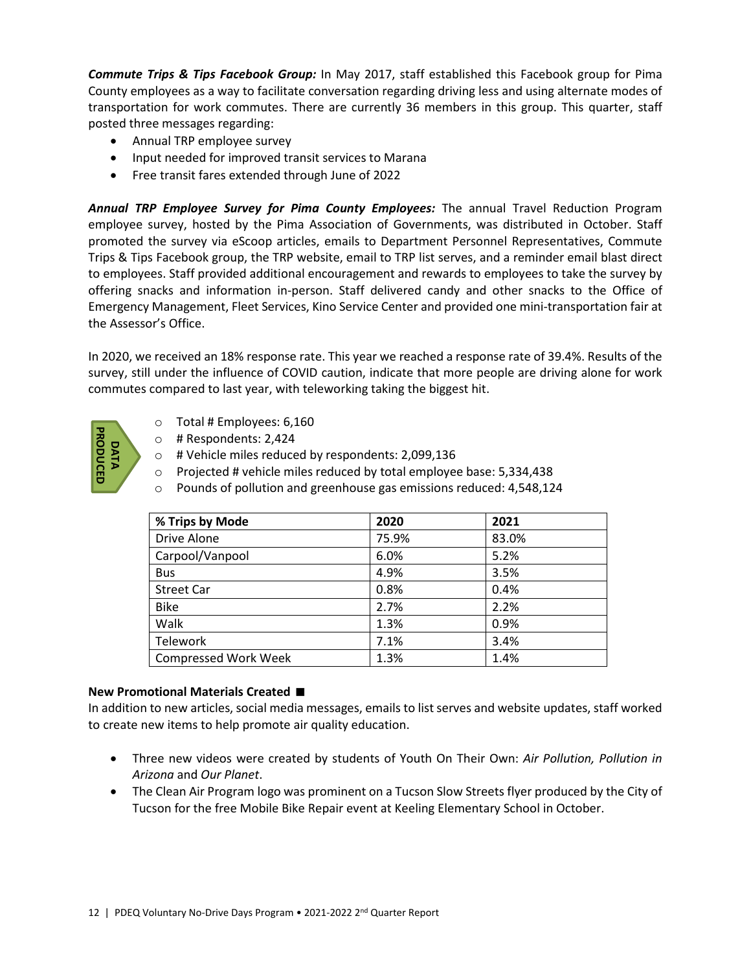*Commute Trips & Tips Facebook Group:* In May 2017, staff established this Facebook group for Pima County employees as a way to facilitate conversation regarding driving less and using alternate modes of transportation for work commutes. There are currently 36 members in this group. This quarter, staff posted three messages regarding:

- Annual TRP employee survey
- Input needed for improved transit services to Marana
- Free transit fares extended through June of 2022

*Annual TRP Employee Survey for Pima County Employees:* The annual Travel Reduction Program employee survey, hosted by the Pima Association of Governments, was distributed in October. Staff promoted the survey via eScoop articles, emails to Department Personnel Representatives, Commute Trips & Tips Facebook group, the TRP website, email to TRP list serves, and a reminder email blast direct to employees. Staff provided additional encouragement and rewards to employees to take the survey by offering snacks and information in-person. Staff delivered candy and other snacks to the Office of Emergency Management, Fleet Services, Kino Service Center and provided one mini-transportation fair at the Assessor's Office.

In 2020, we received an 18% response rate. This year we reached a response rate of 39.4%. Results of the survey, still under the influence of COVID caution, indicate that more people are driving alone for work commutes compared to last year, with teleworking taking the biggest hit.



- o Total # Employees: 6,160
- o # Respondents: 2,424
- o # Vehicle miles reduced by respondents: 2,099,136
- o Projected # vehicle miles reduced by total employee base: 5,334,438
- o Pounds of pollution and greenhouse gas emissions reduced: 4,548,124

| 2020  | 2021  |
|-------|-------|
| 75.9% | 83.0% |
| 6.0%  | 5.2%  |
| 4.9%  | 3.5%  |
| 0.8%  | 0.4%  |
| 2.7%  | 2.2%  |
| 1.3%  | 0.9%  |
| 7.1%  | 3.4%  |
| 1.3%  | 1.4%  |
|       |       |

# **New Promotional Materials Created**

In addition to new articles, social media messages, emails to list serves and website updates, staff worked to create new items to help promote air quality education.

- Three new videos were created by students of Youth On Their Own: *Air Pollution, Pollution in Arizona* and *Our Planet*.
- The Clean Air Program logo was prominent on a Tucson Slow Streets flyer produced by the City of Tucson for the free Mobile Bike Repair event at Keeling Elementary School in October.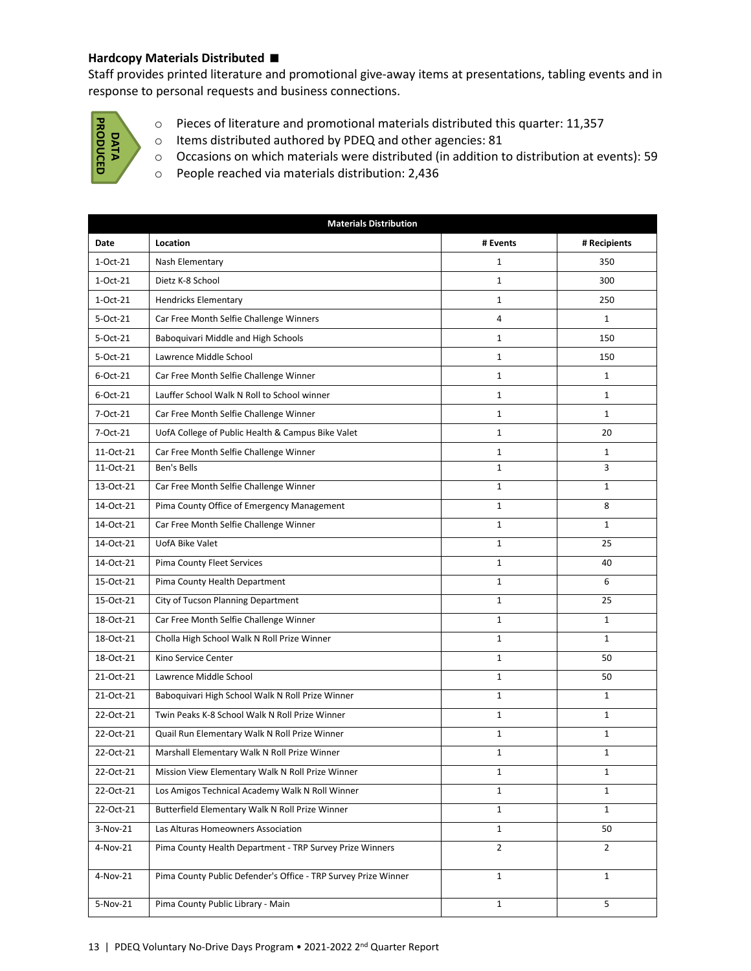## **Hardcopy Materials Distributed**

Staff provides printed literature and promotional give-away items at presentations, tabling events and in response to personal requests and business connections.



- o Pieces of literature and promotional materials distributed this quarter: 11,357
- o Items distributed authored by PDEQ and other agencies: 81
- o Occasions on which materials were distributed (in addition to distribution at events): 59
- o People reached via materials distribution: 2,436

| PRODUCED<br>DATA | Pieces of literature and promotional materials distributed this quarter: 11,357<br>$\circ$<br>Items distributed authored by PDEQ and other agencies: 81<br>O<br>Occasions on which materials were distributed (in addition to distribution at events): 59<br>O |                |              |  |  |
|------------------|----------------------------------------------------------------------------------------------------------------------------------------------------------------------------------------------------------------------------------------------------------------|----------------|--------------|--|--|
|                  | People reached via materials distribution: 2,436<br>$\circ$                                                                                                                                                                                                    |                |              |  |  |
|                  | <b>Materials Distribution</b>                                                                                                                                                                                                                                  |                |              |  |  |
| Date             | Location                                                                                                                                                                                                                                                       | # Events       | # Recipients |  |  |
| 1-Oct-21         | Nash Elementary                                                                                                                                                                                                                                                | 1              | 350          |  |  |
| 1-Oct-21         | Dietz K-8 School                                                                                                                                                                                                                                               | $\mathbf{1}$   | 300          |  |  |
| 1-Oct-21         | <b>Hendricks Elementary</b>                                                                                                                                                                                                                                    | $\mathbf{1}$   | 250          |  |  |
| 5-Oct-21         | Car Free Month Selfie Challenge Winners                                                                                                                                                                                                                        | 4              | $\mathbf{1}$ |  |  |
| 5-Oct-21         | Baboquivari Middle and High Schools                                                                                                                                                                                                                            | 1              | 150          |  |  |
| 5-Oct-21         | Lawrence Middle School                                                                                                                                                                                                                                         | $\mathbf{1}$   | 150          |  |  |
| 6-Oct-21         | Car Free Month Selfie Challenge Winner                                                                                                                                                                                                                         | $\mathbf{1}$   | $\mathbf{1}$ |  |  |
| 6-Oct-21         | Lauffer School Walk N Roll to School winner                                                                                                                                                                                                                    | 1              | $\mathbf{1}$ |  |  |
| 7-Oct-21         | Car Free Month Selfie Challenge Winner                                                                                                                                                                                                                         | $\mathbf{1}$   | $\mathbf{1}$ |  |  |
| 7-Oct-21         | UofA College of Public Health & Campus Bike Valet                                                                                                                                                                                                              | $\mathbf{1}$   | 20           |  |  |
| 11-Oct-21        | Car Free Month Selfie Challenge Winner                                                                                                                                                                                                                         | 1              | 1            |  |  |
| 11-Oct-21        | Ben's Bells                                                                                                                                                                                                                                                    | $\mathbf{1}$   | 3            |  |  |
| 13-Oct-21        | Car Free Month Selfie Challenge Winner                                                                                                                                                                                                                         | $\mathbf 1$    | $\mathbf{1}$ |  |  |
| 14-Oct-21        | Pima County Office of Emergency Management                                                                                                                                                                                                                     | $\mathbf{1}$   | 8            |  |  |
| 14-Oct-21        | Car Free Month Selfie Challenge Winner                                                                                                                                                                                                                         | $\mathbf{1}$   | $\mathbf{1}$ |  |  |
| 14-Oct-21        | UofA Bike Valet                                                                                                                                                                                                                                                | $\mathbf{1}$   | 25           |  |  |
| 14-Oct-21        | Pima County Fleet Services                                                                                                                                                                                                                                     | $\mathbf{1}$   | 40           |  |  |
| 15-Oct-21        | Pima County Health Department                                                                                                                                                                                                                                  | $\mathbf{1}$   | 6            |  |  |
| 15-Oct-21        | City of Tucson Planning Department                                                                                                                                                                                                                             | $\mathbf{1}$   | 25           |  |  |
| 18-Oct-21        | Car Free Month Selfie Challenge Winner                                                                                                                                                                                                                         | 1              | $\mathbf{1}$ |  |  |
| 18-Oct-21        | Cholla High School Walk N Roll Prize Winner                                                                                                                                                                                                                    | $\mathbf{1}$   | $\mathbf{1}$ |  |  |
| 18-Oct-21        | Kino Service Center                                                                                                                                                                                                                                            | $\mathbf{1}$   | 50           |  |  |
| 21-Oct-21        | Lawrence Middle School                                                                                                                                                                                                                                         | 1              | 50           |  |  |
| 21-Oct-21        | Baboquivari High School Walk N Roll Prize Winner                                                                                                                                                                                                               | $\mathbf{1}$   | $\mathbf{1}$ |  |  |
| 22-Oct-21        | Twin Peaks K-8 School Walk N Roll Prize Winner                                                                                                                                                                                                                 | $\mathbf{1}$   | $\mathbf{1}$ |  |  |
| 22-Oct-21        | Quail Run Elementary Walk N Roll Prize Winner                                                                                                                                                                                                                  | $\mathbf{1}$   | $\mathbf{1}$ |  |  |
| 22-Oct-21        | Marshall Elementary Walk N Roll Prize Winner                                                                                                                                                                                                                   | $\mathbf{1}$   | $\mathbf{1}$ |  |  |
| 22-Oct-21        | Mission View Elementary Walk N Roll Prize Winner                                                                                                                                                                                                               | $\mathbf{1}$   | $\mathbf{1}$ |  |  |
| 22-Oct-21        | Los Amigos Technical Academy Walk N Roll Winner                                                                                                                                                                                                                | $\mathbf{1}$   | 1            |  |  |
| 22-Oct-21        | Butterfield Elementary Walk N Roll Prize Winner                                                                                                                                                                                                                | $\mathbf{1}$   | $\mathbf{1}$ |  |  |
| $3-Nov-21$       | Las Alturas Homeowners Association                                                                                                                                                                                                                             | $\mathbf{1}$   | 50           |  |  |
| 4-Nov-21         | Pima County Health Department - TRP Survey Prize Winners                                                                                                                                                                                                       | $\overline{2}$ | 2            |  |  |
| 4-Nov-21         | Pima County Public Defender's Office - TRP Survey Prize Winner                                                                                                                                                                                                 | $\mathbf{1}$   | $\mathbf{1}$ |  |  |
| 5-Nov-21         | Pima County Public Library - Main                                                                                                                                                                                                                              | $\mathbf{1}$   | 5            |  |  |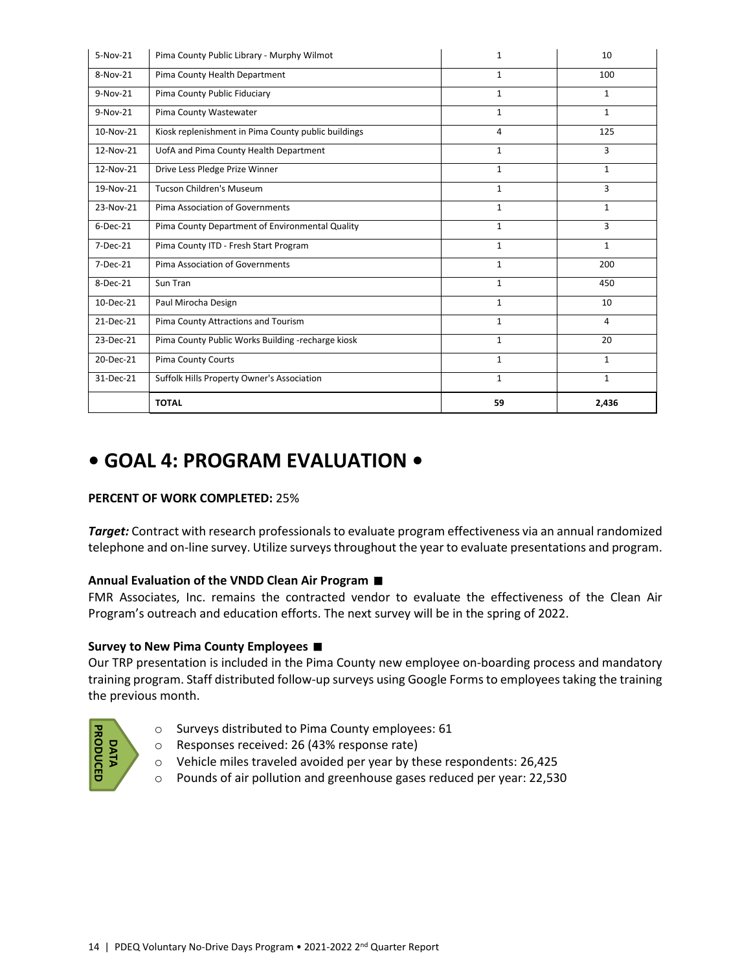| 5-Nov-21  | Pima County Public Library - Murphy Wilmot          | $\mathbf{1}$ | 10           |
|-----------|-----------------------------------------------------|--------------|--------------|
| 8-Nov-21  | Pima County Health Department                       | $\mathbf{1}$ | 100          |
| 9-Nov-21  | Pima County Public Fiduciary                        | $\mathbf{1}$ | $\mathbf{1}$ |
| 9-Nov-21  | Pima County Wastewater                              | 1            | $\mathbf{1}$ |
| 10-Nov-21 | Kiosk replenishment in Pima County public buildings | 4            | 125          |
| 12-Nov-21 | UofA and Pima County Health Department              | $\mathbf{1}$ | 3            |
| 12-Nov-21 | Drive Less Pledge Prize Winner                      | $\mathbf{1}$ | $\mathbf{1}$ |
| 19-Nov-21 | <b>Tucson Children's Museum</b>                     | $\mathbf{1}$ | 3            |
| 23-Nov-21 | Pima Association of Governments                     | $\mathbf{1}$ | $\mathbf{1}$ |
| 6-Dec-21  | Pima County Department of Environmental Quality     | $\mathbf{1}$ | 3            |
| 7-Dec-21  | Pima County ITD - Fresh Start Program               | $\mathbf{1}$ | $\mathbf{1}$ |
| 7-Dec-21  | Pima Association of Governments                     | $\mathbf{1}$ | 200          |
| 8-Dec-21  | Sun Tran                                            | 1            | 450          |
| 10-Dec-21 | Paul Mirocha Design                                 | $\mathbf{1}$ | 10           |
| 21-Dec-21 | Pima County Attractions and Tourism                 | $\mathbf{1}$ | 4            |
| 23-Dec-21 | Pima County Public Works Building -recharge kiosk   | $\mathbf{1}$ | 20           |
| 20-Dec-21 | <b>Pima County Courts</b>                           | $\mathbf{1}$ | $\mathbf{1}$ |
| 31-Dec-21 | Suffolk Hills Property Owner's Association          | $\mathbf{1}$ | $\mathbf{1}$ |
|           | <b>TOTAL</b>                                        | 59           | 2,436        |

# **• GOAL 4: PROGRAM EVALUATION •**

# **PERCENT OF WORK COMPLETED:** 25%

*Target:* Contract with research professionals to evaluate program effectiveness via an annual randomized telephone and on-line survey. Utilize surveys throughout the year to evaluate presentations and program.

### **Annual Evaluation of the VNDD Clean Air Program**

FMR Associates, Inc. remains the contracted vendor to evaluate the effectiveness of the Clean Air Program's outreach and education efforts. The next survey will be in the spring of 2022.

### **Survey to New Pima County Employees**

Our TRP presentation is included in the Pima County new employee on-boarding process and mandatory training program. Staff distributed follow-up surveys using Google Formsto employees taking the training the previous month.

| 공<br>o<br><b>ATA</b><br>U<br>⊑<br>品 |
|-------------------------------------|
|-------------------------------------|

- o Surveys distributed to Pima County employees: 61
- o Responses received: 26 (43% response rate)
- o Vehicle miles traveled avoided per year by these respondents: 26,425
- o Pounds of air pollution and greenhouse gases reduced per year: 22,530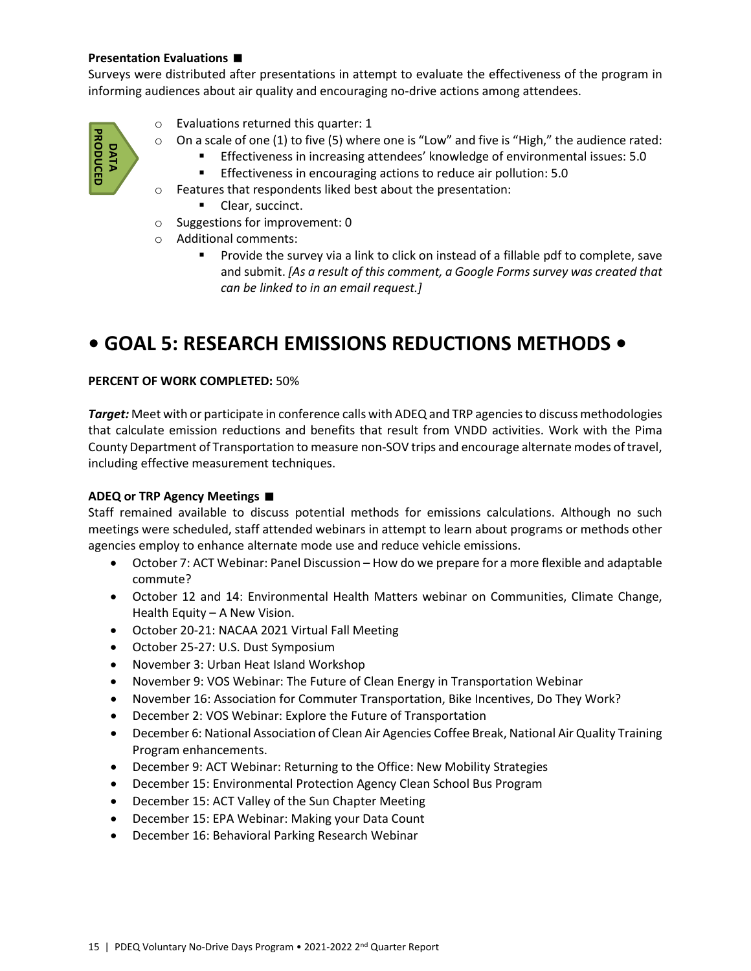# **Presentation Evaluations**

Surveys were distributed after presentations in attempt to evaluate the effectiveness of the program in informing audiences about air quality and encouraging no-drive actions among attendees.



- o Evaluations returned this quarter: 1
- $\circ$  On a scale of one (1) to five (5) where one is "Low" and five is "High," the audience rated:
	- Effectiveness in increasing attendees' knowledge of environmental issues: 5.0
		- **Effectiveness in encouraging actions to reduce air pollution: 5.0**
- o Features that respondents liked best about the presentation:
	- **Clear, succinct.**
- o Suggestions for improvement: 0
- o Additional comments:
	- Provide the survey via a link to click on instead of a fillable pdf to complete, save and submit. *[As a result of this comment, a Google Forms survey was created that can be linked to in an email request.]*

# **• GOAL 5: RESEARCH EMISSIONS REDUCTIONS METHODS •**

# **PERCENT OF WORK COMPLETED:** 50%

*Target:* Meet with or participate in conference calls with ADEQ and TRP agencies to discuss methodologies that calculate emission reductions and benefits that result from VNDD activities. Work with the Pima County Department of Transportation to measure non-SOV trips and encourage alternate modes of travel, including effective measurement techniques. • December 16: Behavioral Parking Research Webinar **DATA** 

# **ADEQ or TRP Agency Meetings**

Staff remained available to discuss potential methods for emissions calculations. Although no such meetings were scheduled, staff attended webinars in attempt to learn about programs or methods other agencies employ to enhance alternate mode use and reduce vehicle emissions.

- October 7: ACT Webinar: Panel Discussion How do we prepare for a more flexible and adaptable commute?
- October 12 and 14: Environmental Health Matters webinar on Communities, Climate Change, Health Equity – A New Vision.
- October 20-21: NACAA 2021 Virtual Fall Meeting
- October 25-27: U.S. Dust Symposium
- November 3: Urban Heat Island Workshop
- November 9: VOS Webinar: The Future of Clean Energy in Transportation Webinar
- November 16: Association for Commuter Transportation, Bike Incentives, Do They Work?
- December 2: VOS Webinar: Explore the Future of Transportation
- December 6: National Association of Clean Air Agencies Coffee Break, National Air Quality Training Program enhancements.
- December 9: ACT Webinar: Returning to the Office: New Mobility Strategies
- December 15: Environmental Protection Agency Clean School Bus Program
- December 15: ACT Valley of the Sun Chapter Meeting
- December 15: EPA Webinar: Making your Data Count
-